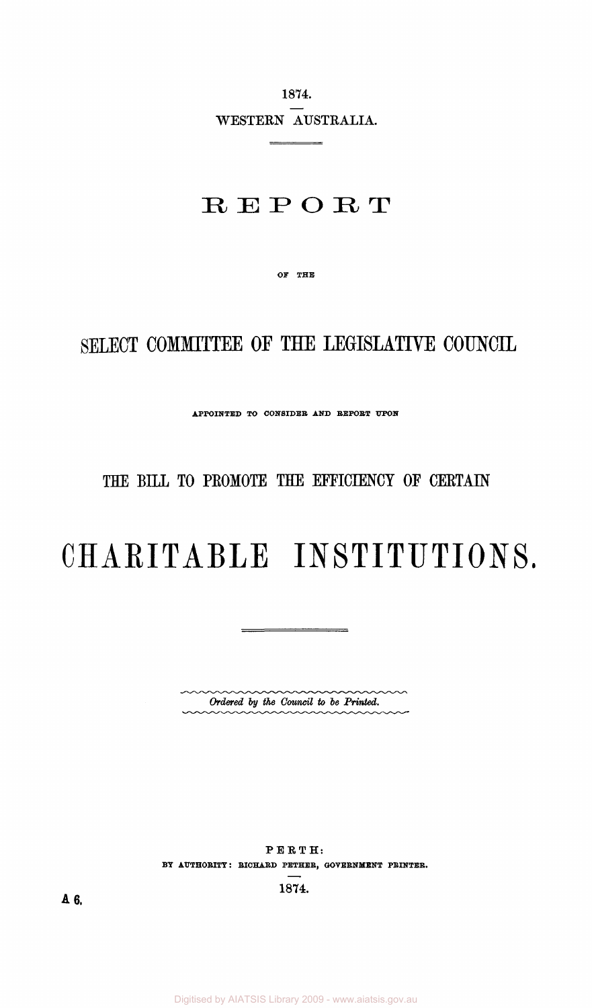1874. WESTERN AUSTRALIA.

# **REPORT**

OF THE

# SELECT COMMITTEE OF THE LEGISLATIVE COUNCIL

APPOINTED TO CONSIDER AND REPORT UPON

### THE BILL TO PROMOTE THE EFFICIENCY OF CERTAIN

# **CHARITABL E INSTITUTIONS .**

 $\equiv$ 

*Ordered by ihe Council to be Printed.* 

PERTH: BY AUTHORITY: RICHARD PETHER, GOVERNMENT PRINTER.

1874.

A 6.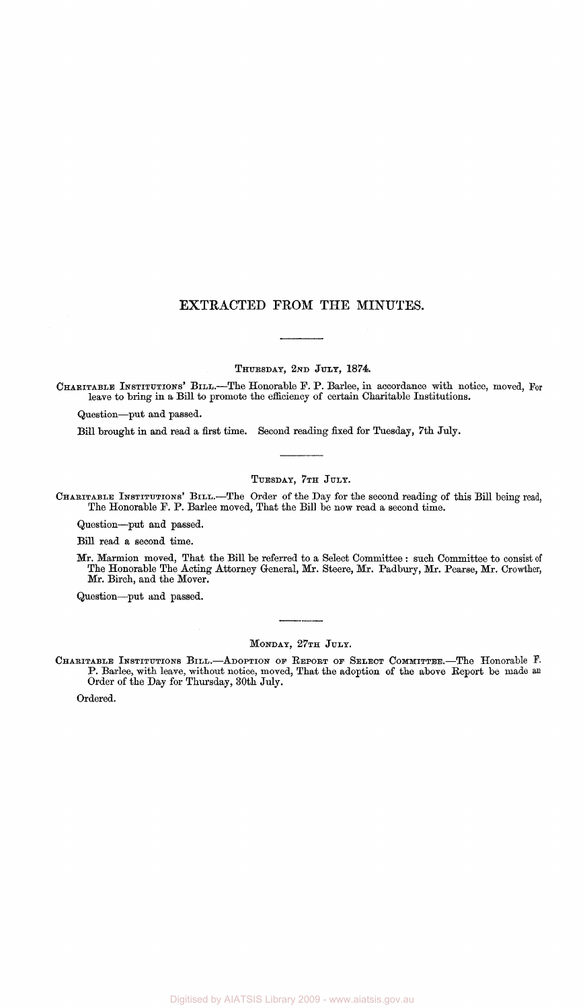#### **EXTRACTED FROM THE MINUTES.**

THURSDAY, 2ND JULY, 1874.

CHARITABLE INSTITUTIONS' BILL.—The Honorable F. P. Barlee, in accordance with notice, moved, For leave to bring in a Bill to promote the efficiency of certain Charitable Institutions.

Question—put and passed.

Bill brought in and read a first time. Second reading fixed for Tuesday, 7th July.

#### TUESDAY, 7TH JULY.

CHARITABLE INSTITUTIONS' BILL.-—The Order of the Day for the second reading of this Bill being read, The Honorable F. P. Barlee moved, That the Bill be now read a second time.

Question—put and passed.

Bill read a second time.

Mr. Marmion moved, That the Bill be referred to a Select Committee : such Committee to consist of The Honorable The Acting Attorney General, Mr. Steere, Mr. Padbury, Mr. Pearse, Mr. Crowther, Mr. Birch, and the Mover.

Question—put and passed.

#### MONDAY, 27TH JULY.

CHARITABLE INSTITUTIONS BILL.—ADOPTION OF REPORT OF SELECT COMMITTEE.—The Honorable *¥•*  P. Barlee, with leave, without notice, moved, That the adoption of the above Report be made an Order of the Day for Thursday, 30th July.

Ordered.